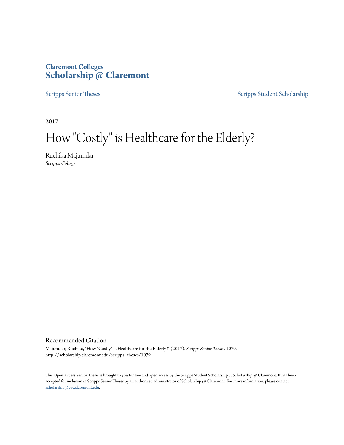# **Claremont Colleges [Scholarship @ Claremont](http://scholarship.claremont.edu)**

[Scripps Senior Theses](http://scholarship.claremont.edu/scripps_theses) [Scripps Student Scholarship](http://scholarship.claremont.edu/scripps_student)

2017

# How "Costly" is Healthcare for the Elderly?

Ruchika Majumdar *Scripps College*

#### Recommended Citation

Majumdar, Ruchika, "How "Costly" is Healthcare for the Elderly?" (2017). *Scripps Senior Theses*. 1079. http://scholarship.claremont.edu/scripps\_theses/1079

This Open Access Senior Thesis is brought to you for free and open access by the Scripps Student Scholarship at Scholarship @ Claremont. It has been accepted for inclusion in Scripps Senior Theses by an authorized administrator of Scholarship @ Claremont. For more information, please contact [scholarship@cuc.claremont.edu.](mailto:scholarship@cuc.claremont.edu)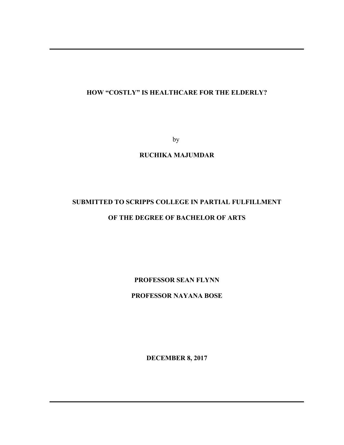## **HOW "COSTLY" IS HEALTHCARE FOR THE ELDERLY?**

by

### **RUCHIKA MAJUMDAR**

# **SUBMITTED TO SCRIPPS COLLEGE IN PARTIAL FULFILLMENT OF THE DEGREE OF BACHELOR OF ARTS**

**PROFESSOR SEAN FLYNN**

**PROFESSOR NAYANA BOSE**

**DECEMBER 8, 2017**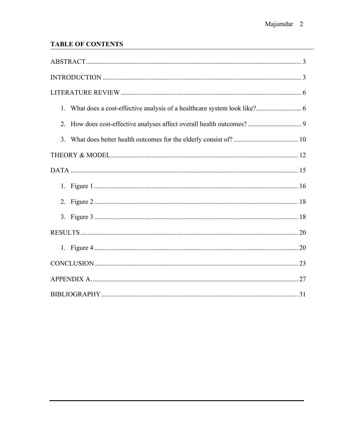# **TABLE OF CONTENTS**

| 2 |  |  |  |
|---|--|--|--|
|   |  |  |  |
|   |  |  |  |
|   |  |  |  |
|   |  |  |  |
|   |  |  |  |
|   |  |  |  |
|   |  |  |  |
|   |  |  |  |
|   |  |  |  |
|   |  |  |  |
|   |  |  |  |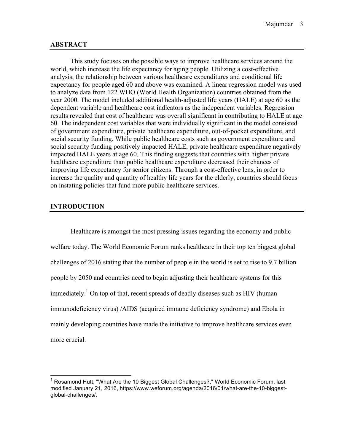#### **ABSTRACT**

This study focuses on the possible ways to improve healthcare services around the world, which increase the life expectancy for aging people. Utilizing a cost-effective analysis, the relationship between various healthcare expenditures and conditional life expectancy for people aged 60 and above was examined. A linear regression model was used to analyze data from 122 WHO (World Health Organization) countries obtained from the year 2000. The model included additional health-adjusted life years (HALE) at age 60 as the dependent variable and healthcare cost indicators as the independent variables. Regression results revealed that cost of healthcare was overall significant in contributing to HALE at age 60. The independent cost variables that were individually significant in the model consisted of government expenditure, private healthcare expenditure, out-of-pocket expenditure, and social security funding. While public healthcare costs such as government expenditure and social security funding positively impacted HALE, private healthcare expenditure negatively impacted HALE years at age 60. This finding suggests that countries with higher private healthcare expenditure than public healthcare expenditure decreased their chances of improving life expectancy for senior citizens. Through a cost-effective lens, in order to increase the quality and quantity of healthy life years for the elderly, countries should focus on instating policies that fund more public healthcare services.

#### **INTRODUCTION**

Healthcare is amongst the most pressing issues regarding the economy and public welfare today. The World Economic Forum ranks healthcare in their top ten biggest global challenges of 2016 stating that the number of people in the world is set to rise to 9.7 billion people by 2050 and countries need to begin adjusting their healthcare systems for this immediately.<sup>1</sup> On top of that, recent spreads of deadly diseases such as HIV (human immunodeficiency virus) /AIDS (acquired immune deficiency syndrome) and Ebola in mainly developing countries have made the initiative to improve healthcare services even more crucial.

 $1$  Rosamond Hutt, "What Are the 10 Biggest Global Challenges?," World Economic Forum, last modified January 21, 2016, https://www.weforum.org/agenda/2016/01/what-are-the-10-biggestglobal-challenges/.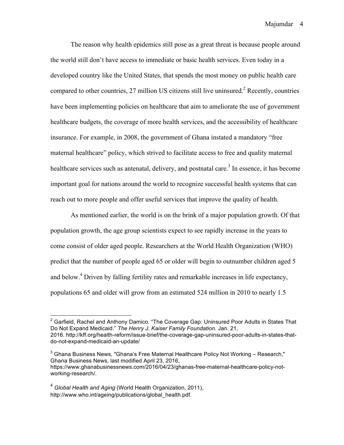The reason why health epidemics still pose as a great threat is because people around the world still don't have access to immediate or basic health services. Even today in a developed country like the United States, that spends the most money on public health care compared to other countries, 27 million US citizens still live uninsured.<sup>2</sup> Recently, countries have been implementing policies on healthcare that aim to ameliorate the use of government healthcare budgets, the coverage of more health services, and the accessibility of healthcare insurance. For example, in 2008, the government of Ghana instated a mandatory "free maternal healthcare" policy, which strived to facilitate access to free and quality maternal healthcare services such as antenatal, delivery, and postnatal care.<sup>3</sup> In essence, it has become important goal for nations around the world to recognize successful health systems that can reach out to more people and offer useful services that improve the quality of health.

As mentioned earlier, the world is on the brink of a major population growth. Of that population growth, the age group scientists expect to see rapidly increase in the years to come consist of older aged people. Researchers at the World Health Organization (WHO) predict that the number of people aged 65 or older will begin to outnumber children aged 5 and below.<sup>4</sup> Driven by falling fertility rates and remarkable increases in life expectancy, populations 65 and older will grow from an estimated 524 million in 2010 to nearly 1.5

 $3$  Ghana Business News, "Ghana's Free Maternal Healthcare Policy Not Working – Research," Ghana Business News, last modified April 23, 2016, https://www.ghanabusinessnews.com/2016/04/23/ghanas-free-maternal-healthcare-policy-notworking-research/.

<sup>4</sup> *Global Health and Aging* (World Health Organization, 2011), http://www.who.int/ageing/publications/global\_health.pdf.

 $2$  Garfield, Rachel and Anthony Damico. "The Coverage Gap: Uninsured Poor Adults in States That Do Not Expand Medicaid." *The Henry J. Kaiser Family Foundation.* Jan. 21, 2016. http://kff.org/health-reform/issue-brief/the-coverage-gap-uninsured-poor-adults-in-states-thatdo-not-expand-medicaid-an-update/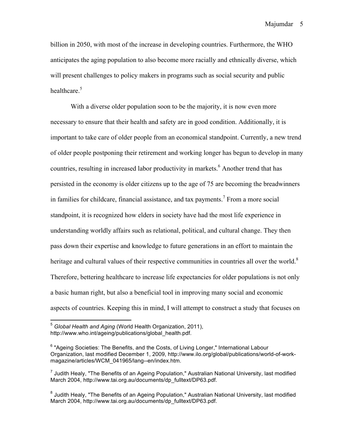billion in 2050, with most of the increase in developing countries. Furthermore, the WHO anticipates the aging population to also become more racially and ethnically diverse, which will present challenges to policy makers in programs such as social security and public healthcare.<sup>5</sup>

With a diverse older population soon to be the majority, it is now even more necessary to ensure that their health and safety are in good condition. Additionally, it is important to take care of older people from an economical standpoint. Currently, a new trend of older people postponing their retirement and working longer has begun to develop in many countries, resulting in increased labor productivity in markets.<sup>6</sup> Another trend that has persisted in the economy is older citizens up to the age of 75 are becoming the breadwinners in families for childcare, financial assistance, and tax payments.<sup>7</sup> From a more social standpoint, it is recognized how elders in society have had the most life experience in understanding worldly affairs such as relational, political, and cultural change. They then pass down their expertise and knowledge to future generations in an effort to maintain the heritage and cultural values of their respective communities in countries all over the world.<sup>8</sup> Therefore, bettering healthcare to increase life expectancies for older populations is not only a basic human right, but also a beneficial tool in improving many social and economic aspects of countries. Keeping this in mind, I will attempt to construct a study that focuses on

 <sup>5</sup> *Global Health and Aging* (World Health Organization, 2011), http://www.who.int/ageing/publications/global\_health.pdf.

 $6$  "Ageing Societies: The Benefits, and the Costs, of Living Longer," International Labour Organization, last modified December 1, 2009, http://www.ilo.org/global/publications/world-of-workmagazine/articles/WCM\_041965/lang--en/index.htm.

 $<sup>7</sup>$  Judith Healy, "The Benefits of an Ageing Population," Australian National University, last modified</sup> March 2004, http://www.tai.org.au/documents/dp\_fulltext/DP63.pdf.

 $^8$  Judith Healy, "The Benefits of an Ageing Population," Australian National University, last modified March 2004, http://www.tai.org.au/documents/dp\_fulltext/DP63.pdf.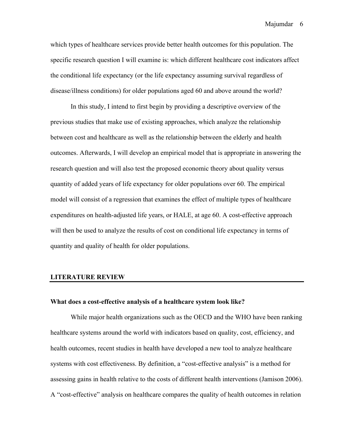which types of healthcare services provide better health outcomes for this population. The specific research question I will examine is: which different healthcare cost indicators affect the conditional life expectancy (or the life expectancy assuming survival regardless of disease/illness conditions) for older populations aged 60 and above around the world?

In this study, I intend to first begin by providing a descriptive overview of the previous studies that make use of existing approaches, which analyze the relationship between cost and healthcare as well as the relationship between the elderly and health outcomes. Afterwards, I will develop an empirical model that is appropriate in answering the research question and will also test the proposed economic theory about quality versus quantity of added years of life expectancy for older populations over 60. The empirical model will consist of a regression that examines the effect of multiple types of healthcare expenditures on health-adjusted life years, or HALE, at age 60. A cost-effective approach will then be used to analyze the results of cost on conditional life expectancy in terms of quantity and quality of health for older populations.

#### **LITERATURE REVIEW**

#### **What does a cost-effective analysis of a healthcare system look like?**

While major health organizations such as the OECD and the WHO have been ranking healthcare systems around the world with indicators based on quality, cost, efficiency, and health outcomes, recent studies in health have developed a new tool to analyze healthcare systems with cost effectiveness. By definition, a "cost-effective analysis" is a method for assessing gains in health relative to the costs of different health interventions (Jamison 2006). A "cost-effective" analysis on healthcare compares the quality of health outcomes in relation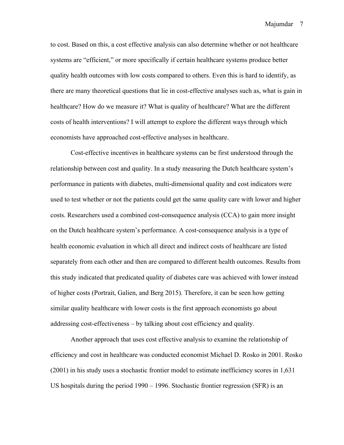to cost. Based on this, a cost effective analysis can also determine whether or not healthcare systems are "efficient," or more specifically if certain healthcare systems produce better quality health outcomes with low costs compared to others. Even this is hard to identify, as there are many theoretical questions that lie in cost-effective analyses such as, what is gain in healthcare? How do we measure it? What is quality of healthcare? What are the different costs of health interventions? I will attempt to explore the different ways through which economists have approached cost-effective analyses in healthcare.

Cost-effective incentives in healthcare systems can be first understood through the relationship between cost and quality. In a study measuring the Dutch healthcare system's performance in patients with diabetes, multi-dimensional quality and cost indicators were used to test whether or not the patients could get the same quality care with lower and higher costs. Researchers used a combined cost-consequence analysis (CCA) to gain more insight on the Dutch healthcare system's performance. A cost-consequence analysis is a type of health economic evaluation in which all direct and indirect costs of healthcare are listed separately from each other and then are compared to different health outcomes. Results from this study indicated that predicated quality of diabetes care was achieved with lower instead of higher costs (Portrait, Galien, and Berg 2015). Therefore, it can be seen how getting similar quality healthcare with lower costs is the first approach economists go about addressing cost-effectiveness – by talking about cost efficiency and quality.

Another approach that uses cost effective analysis to examine the relationship of efficiency and cost in healthcare was conducted economist Michael D. Rosko in 2001. Rosko (2001) in his study uses a stochastic frontier model to estimate inefficiency scores in 1,631 US hospitals during the period 1990 – 1996. Stochastic frontier regression (SFR) is an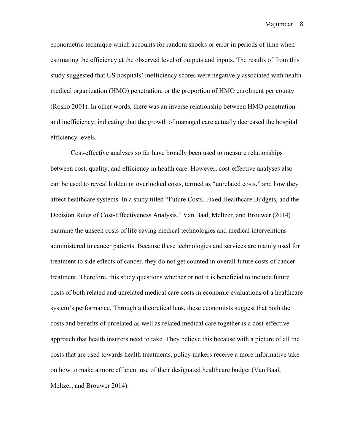econometric technique which accounts for random shocks or error in periods of time when estimating the efficiency at the observed level of outputs and inputs. The results of from this study suggested that US hospitals' inefficiency scores were negatively associated with health medical organization (HMO) penetration, or the proportion of HMO enrolment per county (Rosko 2001). In other words, there was an inverse relationship between HMO penetration and inefficiency, indicating that the growth of managed care actually decreased the hospital efficiency levels.

Cost-effective analyses so far have broadly been used to measure relationships between cost, quality, and efficiency in health care. However, cost-effective analyses also can be used to reveal hidden or overlooked costs, termed as "unrelated costs," and how they affect healthcare systems. In a study titled "Future Costs, Fixed Healthcare Budgets, and the Decision Rules of Cost-Effectiveness Analysis," Van Baal, Meltzer, and Brouwer (2014) examine the unseen costs of life-saving medical technologies and medical interventions administered to cancer patients. Because these technologies and services are mainly used for treatment to side effects of cancer, they do not get counted in overall future costs of cancer treatment. Therefore, this study questions whether or not it is beneficial to include future costs of both related and unrelated medical care costs in economic evaluations of a healthcare system's performance. Through a theoretical lens, these economists suggest that both the costs and benefits of unrelated as well as related medical care together is a cost-effective approach that health insurers need to take. They believe this because with a picture of all the costs that are used towards health treatments, policy makers receive a more informative take on how to make a more efficient use of their designated healthcare budget (Van Baal, Meltzer, and Brouwer 2014).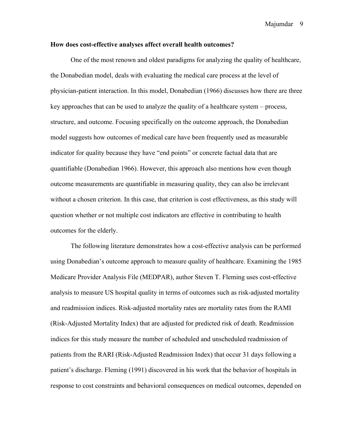#### **How does cost-effective analyses affect overall health outcomes?**

One of the most renown and oldest paradigms for analyzing the quality of healthcare, the Donabedian model, deals with evaluating the medical care process at the level of physician-patient interaction. In this model, Donabedian (1966) discusses how there are three key approaches that can be used to analyze the quality of a healthcare system – process, structure, and outcome. Focusing specifically on the outcome approach, the Donabedian model suggests how outcomes of medical care have been frequently used as measurable indicator for quality because they have "end points" or concrete factual data that are quantifiable (Donabedian 1966). However, this approach also mentions how even though outcome measurements are quantifiable in measuring quality, they can also be irrelevant without a chosen criterion. In this case, that criterion is cost effectiveness, as this study will question whether or not multiple cost indicators are effective in contributing to health outcomes for the elderly.

The following literature demonstrates how a cost-effective analysis can be performed using Donabedian's outcome approach to measure quality of healthcare. Examining the 1985 Medicare Provider Analysis File (MEDPAR), author Steven T. Fleming uses cost-effective analysis to measure US hospital quality in terms of outcomes such as risk-adjusted mortality and readmission indices. Risk-adjusted mortality rates are mortality rates from the RAMI (Risk-Adjusted Mortality Index) that are adjusted for predicted risk of death. Readmission indices for this study measure the number of scheduled and unscheduled readmission of patients from the RARI (Risk-Adjusted Readmission Index) that occur 31 days following a patient's discharge. Fleming (1991) discovered in his work that the behavior of hospitals in response to cost constraints and behavioral consequences on medical outcomes, depended on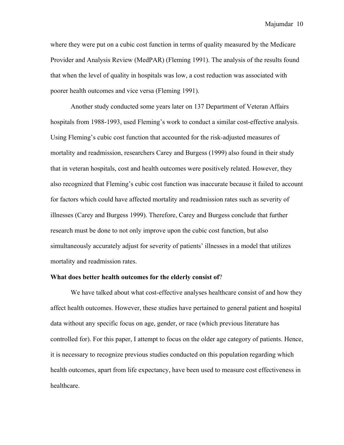where they were put on a cubic cost function in terms of quality measured by the Medicare Provider and Analysis Review (MedPAR) (Fleming 1991). The analysis of the results found that when the level of quality in hospitals was low, a cost reduction was associated with poorer health outcomes and vice versa (Fleming 1991).

Another study conducted some years later on 137 Department of Veteran Affairs hospitals from 1988-1993, used Fleming's work to conduct a similar cost-effective analysis. Using Fleming's cubic cost function that accounted for the risk-adjusted measures of mortality and readmission, researchers Carey and Burgess (1999) also found in their study that in veteran hospitals, cost and health outcomes were positively related. However, they also recognized that Fleming's cubic cost function was inaccurate because it failed to account for factors which could have affected mortality and readmission rates such as severity of illnesses (Carey and Burgess 1999). Therefore, Carey and Burgess conclude that further research must be done to not only improve upon the cubic cost function, but also simultaneously accurately adjust for severity of patients' illnesses in a model that utilizes mortality and readmission rates.

#### **What does better health outcomes for the elderly consist of**?

We have talked about what cost-effective analyses healthcare consist of and how they affect health outcomes. However, these studies have pertained to general patient and hospital data without any specific focus on age, gender, or race (which previous literature has controlled for). For this paper, I attempt to focus on the older age category of patients. Hence, it is necessary to recognize previous studies conducted on this population regarding which health outcomes, apart from life expectancy, have been used to measure cost effectiveness in healthcare.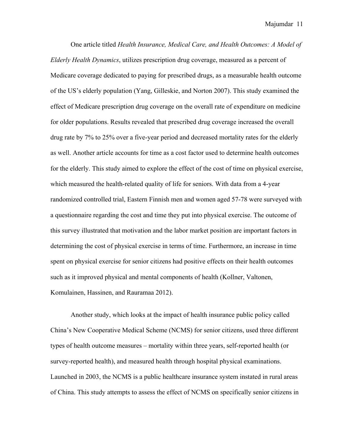One article titled *Health Insurance, Medical Care, and Health Outcomes: A Model of Elderly Health Dynamics*, utilizes prescription drug coverage, measured as a percent of Medicare coverage dedicated to paying for prescribed drugs, as a measurable health outcome of the US's elderly population (Yang, Gilleskie, and Norton 2007). This study examined the effect of Medicare prescription drug coverage on the overall rate of expenditure on medicine for older populations. Results revealed that prescribed drug coverage increased the overall drug rate by 7% to 25% over a five-year period and decreased mortality rates for the elderly as well. Another article accounts for time as a cost factor used to determine health outcomes for the elderly. This study aimed to explore the effect of the cost of time on physical exercise, which measured the health-related quality of life for seniors. With data from a 4-year randomized controlled trial, Eastern Finnish men and women aged 57-78 were surveyed with a questionnaire regarding the cost and time they put into physical exercise. The outcome of this survey illustrated that motivation and the labor market position are important factors in determining the cost of physical exercise in terms of time. Furthermore, an increase in time spent on physical exercise for senior citizens had positive effects on their health outcomes such as it improved physical and mental components of health (Kollner, Valtonen, Komulainen, Hassinen, and Rauramaa 2012).

Another study, which looks at the impact of health insurance public policy called China's New Cooperative Medical Scheme (NCMS) for senior citizens, used three different types of health outcome measures – mortality within three years, self-reported health (or survey-reported health), and measured health through hospital physical examinations. Launched in 2003, the NCMS is a public healthcare insurance system instated in rural areas of China. This study attempts to assess the effect of NCMS on specifically senior citizens in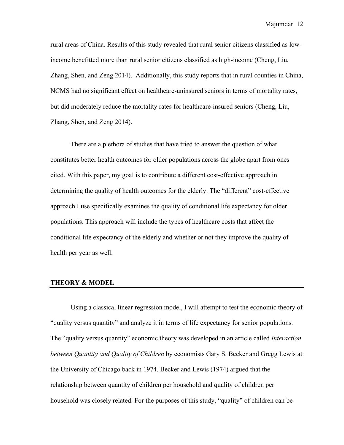rural areas of China. Results of this study revealed that rural senior citizens classified as lowincome benefitted more than rural senior citizens classified as high-income (Cheng, Liu, Zhang, Shen, and Zeng 2014). Additionally, this study reports that in rural counties in China, NCMS had no significant effect on healthcare-uninsured seniors in terms of mortality rates, but did moderately reduce the mortality rates for healthcare-insured seniors (Cheng, Liu, Zhang, Shen, and Zeng 2014).

There are a plethora of studies that have tried to answer the question of what constitutes better health outcomes for older populations across the globe apart from ones cited. With this paper, my goal is to contribute a different cost-effective approach in determining the quality of health outcomes for the elderly. The "different" cost-effective approach I use specifically examines the quality of conditional life expectancy for older populations. This approach will include the types of healthcare costs that affect the conditional life expectancy of the elderly and whether or not they improve the quality of health per year as well.

#### **THEORY & MODEL**

Using a classical linear regression model, I will attempt to test the economic theory of "quality versus quantity" and analyze it in terms of life expectancy for senior populations. The "quality versus quantity" economic theory was developed in an article called *Interaction between Quantity and Quality of Children* by economists Gary S. Becker and Gregg Lewis at the University of Chicago back in 1974. Becker and Lewis (1974) argued that the relationship between quantity of children per household and quality of children per household was closely related. For the purposes of this study, "quality" of children can be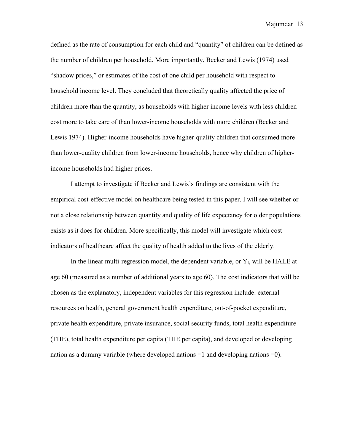defined as the rate of consumption for each child and "quantity" of children can be defined as the number of children per household. More importantly, Becker and Lewis (1974) used "shadow prices," or estimates of the cost of one child per household with respect to household income level. They concluded that theoretically quality affected the price of children more than the quantity, as households with higher income levels with less children cost more to take care of than lower-income households with more children (Becker and Lewis 1974). Higher-income households have higher-quality children that consumed more than lower-quality children from lower-income households, hence why children of higherincome households had higher prices.

I attempt to investigate if Becker and Lewis's findings are consistent with the empirical cost-effective model on healthcare being tested in this paper. I will see whether or not a close relationship between quantity and quality of life expectancy for older populations exists as it does for children. More specifically, this model will investigate which cost indicators of healthcare affect the quality of health added to the lives of the elderly.

In the linear multi-regression model, the dependent variable, or  $Y_i$ , will be HALE at age 60 (measured as a number of additional years to age 60). The cost indicators that will be chosen as the explanatory, independent variables for this regression include: external resources on health, general government health expenditure, out-of-pocket expenditure, private health expenditure, private insurance, social security funds, total health expenditure (THE), total health expenditure per capita (THE per capita), and developed or developing nation as a dummy variable (where developed nations =1 and developing nations =0).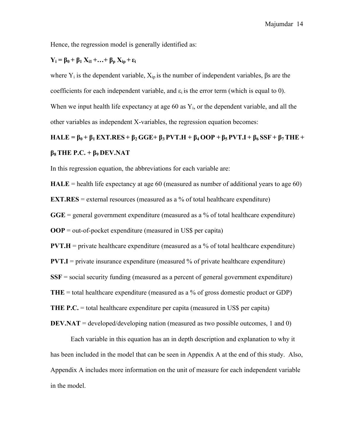Hence, the regression model is generally identified as:

#### $Y_i = \beta_0 + \beta_1 X_{i1} + \ldots + \beta_n X_{in} + \epsilon_i$

where  $Y_i$  is the dependent variable,  $X_{ip}$  is the number of independent variables,  $\beta s$  are the coefficients for each independent variable, and  $\varepsilon_i$  is the error term (which is equal to 0). When we input health life expectancy at age 60 as  $Y_i$ , or the dependent variable, and all the other variables as independent X-variables, the regression equation becomes:

HALE =  $\beta_0$  +  $\beta_1$  EXT, RES +  $\beta_2$  GGE +  $\beta_3$  PVT, H +  $\beta_4$  OOP +  $\beta_5$  PVT, I +  $\beta_6$  SSF +  $\beta_7$  THE + **β8 THE P.C. + β9 DEV.NAT**

In this regression equation, the abbreviations for each variable are:

**HALE** = health life expectancy at age 60 (measured as number of additional years to age 60)

**EXT.RES** = external resources (measured as a % of total healthcare expenditure)

**GGE** = general government expenditure (measured as a % of total healthcare expenditure)

**OOP** = out-of-pocket expenditure (measured in US\$ per capita)

**PVT.H** = private healthcare expenditure (measured as a % of total healthcare expenditure)

**PVT.I** = private insurance expenditure (measured  $\%$  of private healthcare expenditure)

**SSF** = social security funding (measured as a percent of general government expenditure)

**THE** = total healthcare expenditure (measured as a % of gross domestic product or GDP)

**THE P.C.** = total healthcare expenditure per capita (measured in US\$ per capita)

**DEV.NAT** = developed/developing nation (measured as two possible outcomes, 1 and 0)

Each variable in this equation has an in depth description and explanation to why it has been included in the model that can be seen in Appendix A at the end of this study. Also, Appendix A includes more information on the unit of measure for each independent variable in the model.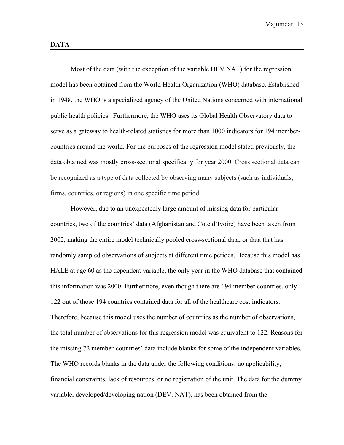Most of the data (with the exception of the variable DEV.NAT) for the regression model has been obtained from the World Health Organization (WHO) database. Established in 1948, the WHO is a specialized agency of the United Nations concerned with international public health policies. Furthermore, the WHO uses its Global Health Observatory data to serve as a gateway to health-related statistics for more than 1000 indicators for 194 membercountries around the world. For the purposes of the regression model stated previously, the data obtained was mostly cross-sectional specifically for year 2000. Cross sectional data can be recognized as a type of data collected by observing many subjects (such as individuals, firms, countries, or regions) in one specific time period.

However, due to an unexpectedly large amount of missing data for particular countries, two of the countries' data (Afghanistan and Cote d'Ivoire) have been taken from 2002, making the entire model technically pooled cross-sectional data, or data that has randomly sampled observations of subjects at different time periods. Because this model has HALE at age 60 as the dependent variable, the only year in the WHO database that contained this information was 2000. Furthermore, even though there are 194 member countries, only 122 out of those 194 countries contained data for all of the healthcare cost indicators. Therefore, because this model uses the number of countries as the number of observations, the total number of observations for this regression model was equivalent to 122. Reasons for the missing 72 member-countries' data include blanks for some of the independent variables. The WHO records blanks in the data under the following conditions: no applicability, financial constraints, lack of resources, or no registration of the unit. The data for the dummy variable, developed/developing nation (DEV. NAT), has been obtained from the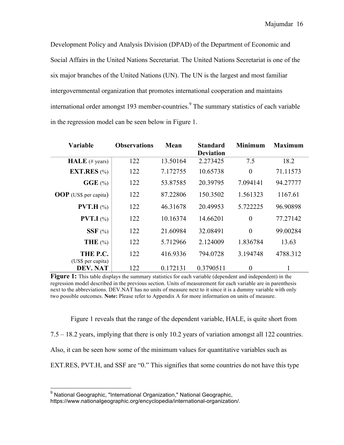Development Policy and Analysis Division (DPAD) of the Department of Economic and Social Affairs in the United Nations Secretariat. The United Nations Secretariat is one of the six major branches of the United Nations (UN). The UN is the largest and most familiar intergovernmental organization that promotes international cooperation and maintains international order amongst 193 member-countries.<sup>9</sup> The summary statistics of each variable in the regression model can be seen below in Figure 1.

| <b>Variable</b>               | <b>Observations</b> | Mean     | <b>Standard</b><br><b>Deviation</b> | <b>Minimum</b> | Maximum  |
|-------------------------------|---------------------|----------|-------------------------------------|----------------|----------|
| HALE (# years)                | 122                 | 13.50164 | 2.273425                            | 7.5            | 18.2     |
| <b>EXT.RES</b> $(\% )$        | 122                 | 7.172755 | 10.65738                            | $\overline{0}$ | 71.11573 |
| $GGE$ $%$                     | 122                 | 53.87585 | 20.39795                            | 7.094141       | 94.27777 |
| <b>OOP</b> (US\$ per capita)  | 122                 | 87.22806 | 150.3502                            | 1.561323       | 1167.61  |
| <b>PVT.H</b> $(\%)$           | 122                 | 46.31678 | 20.49953                            | 5.722225       | 96.90898 |
| <b>PVT.I</b> $(\%)$           | 122                 | 10.16374 | 14.66201                            | $\overline{0}$ | 77.27142 |
| $SSF$ (%)                     | 122                 | 21.60984 | 32.08491                            | $\overline{0}$ | 99.00284 |
| THE $(\% )$                   | 122                 | 5.712966 | 2.124009                            | 1.836784       | 13.63    |
| THE P.C.                      | 122                 | 416.9336 | 794.0728                            | 3.194748       | 4788.312 |
| (US\$ per capita)<br>DEV. NAT | 122                 | 0.172131 | 0.3790511                           | $\overline{0}$ |          |

**Figure 1:** This table displays the summary statistics for each variable (dependent and independent) in the regression model described in the previous section. Units of measurement for each variable are in parenthesis next to the abbreviations. DEV.NAT has no units of measure next to it since it is a dummy variable with only two possible outcomes. **Note:** Please refer to Appendix A for more information on units of measure.

Figure 1 reveals that the range of the dependent variable, HALE, is quite short from 7.5 – 18.2 years, implying that there is only 10.2 years of variation amongst all 122 countries. Also, it can be seen how some of the minimum values for quantitative variables such as EXT.RES, PVT.H, and SSF are "0." This signifies that some countries do not have this type

<sup>&</sup>lt;sup>9</sup> National Geographic, "International Organization," National Geographic,

https://www.nationalgeographic.org/encyclopedia/international-organization/.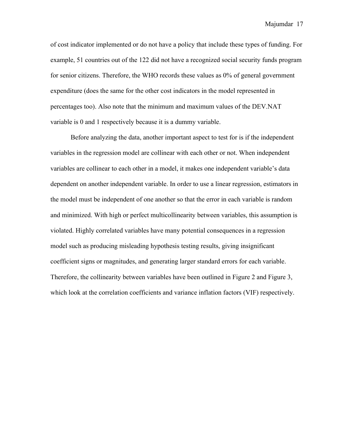of cost indicator implemented or do not have a policy that include these types of funding. For example, 51 countries out of the 122 did not have a recognized social security funds program for senior citizens. Therefore, the WHO records these values as 0% of general government expenditure (does the same for the other cost indicators in the model represented in percentages too). Also note that the minimum and maximum values of the DEV.NAT variable is 0 and 1 respectively because it is a dummy variable.

Before analyzing the data, another important aspect to test for is if the independent variables in the regression model are collinear with each other or not. When independent variables are collinear to each other in a model, it makes one independent variable's data dependent on another independent variable. In order to use a linear regression, estimators in the model must be independent of one another so that the error in each variable is random and minimized. With high or perfect multicollinearity between variables, this assumption is violated. Highly correlated variables have many potential consequences in a regression model such as producing misleading hypothesis testing results, giving insignificant coefficient signs or magnitudes, and generating larger standard errors for each variable. Therefore, the collinearity between variables have been outlined in Figure 2 and Figure 3, which look at the correlation coefficients and variance inflation factors (VIF) respectively.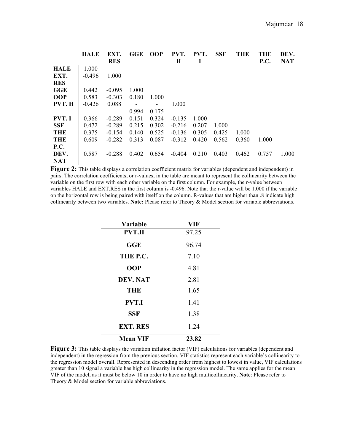|              | <b>HALE</b> | EXT.       | GGE   | <b>OOP</b> | PVT.     | PVT.  | <b>SSF</b> | <b>THE</b> | <b>THE</b>  | DEV.       |
|--------------|-------------|------------|-------|------------|----------|-------|------------|------------|-------------|------------|
|              |             | <b>RES</b> |       |            | H        |       |            |            | <b>P.C.</b> | <b>NAT</b> |
| <b>HALE</b>  | 1.000       |            |       |            |          |       |            |            |             |            |
| EXT.         | $-0.496$    | 1.000      |       |            |          |       |            |            |             |            |
| <b>RES</b>   |             |            |       |            |          |       |            |            |             |            |
| GGE          | 0.442       | $-0.095$   | 1.000 |            |          |       |            |            |             |            |
| <b>OOP</b>   | 0.583       | $-0.303$   | 0.180 | 1.000      |          |       |            |            |             |            |
| PVT. H       | $-0.426$    | 0.088      |       |            | 1.000    |       |            |            |             |            |
|              |             |            | 0.994 | 0.175      |          |       |            |            |             |            |
| <b>PVT.I</b> | 0.366       | $-0.289$   | 0.151 | 0.324      | $-0.135$ | 1.000 |            |            |             |            |
| <b>SSF</b>   | 0.472       | $-0.289$   | 0.215 | 0.302      | $-0.216$ | 0.207 | 1.000      |            |             |            |
| <b>THE</b>   | 0.375       | $-0.154$   | 0.140 | 0.525      | $-0.136$ | 0.305 | 0.425      | 1.000      |             |            |
| <b>THE</b>   | 0.609       | $-0.282$   | 0.313 | 0.087      | $-0.312$ | 0.420 | 0.562      | 0.360      | 1.000       |            |
| <b>P.C.</b>  |             |            |       |            |          |       |            |            |             |            |
| DEV.         | 0.587       | $-0.288$   | 0.402 | 0.654      | $-0.404$ | 0.210 | 0.403      | 0.462      | 0.757       | 1.000      |
| <b>NAT</b>   |             |            |       |            |          |       |            |            |             |            |

**Figure 2:** This table displays a correlation coefficient matrix for variables (dependent and independent) in pairs. The correlation coefficients, or r-values, in the table are meant to represent the collinearity between the variable on the first row with each other variable on the first column. For example, the r-value between variables HALE and EXT.RES in the first column is -0.496. Note that the r-value will be 1.000 if the variable on the horizontal row is being paired with itself on the column. R-values that are higher than .8 indicate high collinearity between two variables. **Note:** Please refer to Theory & Model section for variable abbreviations.

| Variable        | VIF   |
|-----------------|-------|
| <b>PVT.H</b>    | 97.25 |
| GGE             | 96.74 |
| THE P.C.        | 7.10  |
| <b>OOP</b>      | 4.81  |
| <b>DEV. NAT</b> | 2.81  |
| <b>THE</b>      | 1.65  |
| <b>PVT.I</b>    | 1.41  |
| <b>SSF</b>      | 1.38  |
| <b>EXT. RES</b> | 1.24  |
| <b>Mean VIF</b> | 23.82 |

**Figure 3:** This table displays the variation inflation factor (VIF) calculations for variables (dependent and independent) in the regression from the previous section. VIF statistics represent each variable's collinearity to the regression model overall. Represented in descending order from highest to lowest in value, VIF calculations greater than 10 signal a variable has high collinearity in the regression model. The same applies for the mean VIF of the model, as it must be below 10 in order to have no high multicollinearity. **Note**: Please refer to Theory & Model section for variable abbreviations.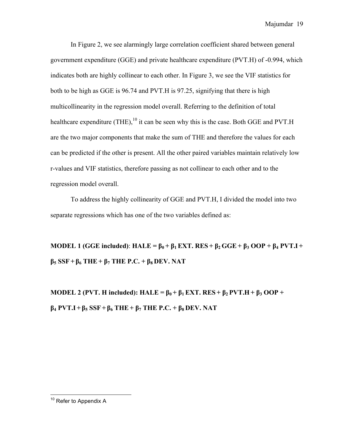In Figure 2, we see alarmingly large correlation coefficient shared between general government expenditure (GGE) and private healthcare expenditure (PVT.H) of -0.994, which indicates both are highly collinear to each other. In Figure 3, we see the VIF statistics for both to be high as GGE is 96.74 and PVT.H is 97.25, signifying that there is high multicollinearity in the regression model overall. Referring to the definition of total healthcare expenditure (THE), $^{10}$  it can be seen why this is the case. Both GGE and PVT.H are the two major components that make the sum of THE and therefore the values for each can be predicted if the other is present. All the other paired variables maintain relatively low r-values and VIF statistics, therefore passing as not collinear to each other and to the regression model overall.

To address the highly collinearity of GGE and PVT.H, I divided the model into two separate regressions which has one of the two variables defined as:

**MODEL 1** (GGE included): **HALE =**  $\beta_0 + \beta_1$  **EXT.** RES +  $\beta_2$  GGE +  $\beta_3$  OOP +  $\beta_4$  PVT.I + **β<sup>5</sup> SSF + β<sup>6</sup> THE+ β<sup>7</sup> THE P.C. + β8 DEV. NAT**

**MODEL 2 (PVT. H included): HALE =**  $\beta_0 + \beta_1$  **EXT. RES** +  $\beta_2$  PVT.H +  $\beta_3$  OOP + **β<sup>4</sup> PVT.I + β<sup>5</sup> SSF + β<sup>6</sup> THE+ β<sup>7</sup> THE P.C. + β8 DEV. NAT**

<sup>&</sup>lt;sup>10</sup> Refer to Appendix A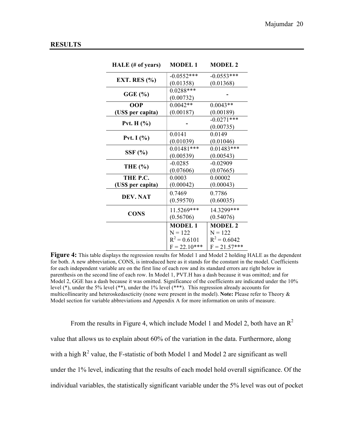| HALE (# of years) | <b>MODEL 1</b> | <b>MODEL 2</b> |
|-------------------|----------------|----------------|
|                   | $-0.0552***$   | $-0.0553***$   |
| EXT. RES $(\% )$  | (0.01358)      | (0.01368)      |
| GGE(%)            | $0.0288***$    |                |
|                   | (0.00732)      |                |
| <b>OOP</b>        | $0.0042**$     | $0.0043**$     |
| (US\$ per capita) | (0.00187)      | (0.00189)      |
|                   |                | $-0.0271***$   |
| Pvt. $H(\% )$     |                | (0.00735)      |
| Pvt. I $(\% )$    | 0.0141         | 0.0149         |
|                   | (0.01039)      | (0.01046)      |
|                   | $0.01481***$   | $0.01483***$   |
| SSF(%)            | (0.00539)      | (0.00543)      |
|                   | $-0.0285$      | $-0.02909$     |
| <b>THE</b> (%)    | (0.07606)      | (0.07665)      |
| THE P.C.          | 0.0003         | 0.00002        |
| (US\$ per capita) | (0.00042)      | (0.00043)      |
|                   | 0.7469         | 0.7786         |
| <b>DEV. NAT</b>   | (0.59570)      | (0.60035)      |
|                   | 11.5269***     | 14.3299***     |
| <b>CONS</b>       | (0.56706)      | (0.54076)      |
|                   | <b>MODEL1</b>  | <b>MODEL 2</b> |
|                   | $N = 122$      | $N = 122$      |
|                   | $R^2 = 0.6101$ | $R^2 = 0.6042$ |
|                   | $F = 22.10***$ | $F = 21.57***$ |

**Figure 4:** This table displays the regression results for Model 1 and Model 2 holding HALE as the dependent for both. A new abbreviation, CONS, is introduced here as it stands for the constant in the model. Coefficients for each independent variable are on the first line of each row and its standard errors are right below in parenthesis on the second line of each row. In Model 1, PVT.H has a dash because it was omitted; and for Model 2, GGE has a dash because it was omitted. Significance of the coefficients are indicated under the 10% level (\*), under the 5% level (\*\*), under the 1% level (\*\*\*). This regression already accounts for multicollinearity and heteroskedascticity (none were present in the model). **Note:** Please refer to Theory & Model section for variable abbreviations and Appendix A for more information on units of measure.

From the results in Figure 4, which include Model 1 and Model 2, both have an  $\mathbb{R}^2$ value that allows us to explain about 60% of the variation in the data. Furthermore, along with a high  $R^2$  value, the F-statistic of both Model 1 and Model 2 are significant as well under the 1% level, indicating that the results of each model hold overall significance. Of the individual variables, the statistically significant variable under the 5% level was out of pocket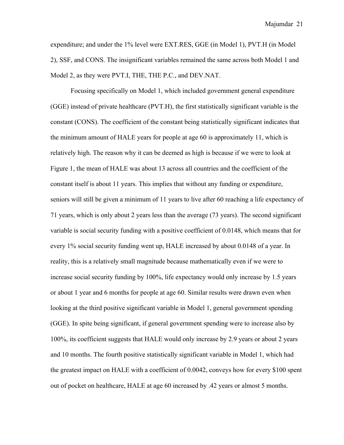expenditure; and under the 1% level were EXT.RES, GGE (in Model 1), PVT.H (in Model 2), SSF, and CONS. The insignificant variables remained the same across both Model 1 and Model 2, as they were PVT.I, THE, THE P.C., and DEV.NAT.

Focusing specifically on Model 1, which included government general expenditure (GGE) instead of private healthcare (PVT.H), the first statistically significant variable is the constant (CONS). The coefficient of the constant being statistically significant indicates that the minimum amount of HALE years for people at age 60 is approximately 11, which is relatively high. The reason why it can be deemed as high is because if we were to look at Figure 1, the mean of HALE was about 13 across all countries and the coefficient of the constant itself is about 11 years. This implies that without any funding or expenditure, seniors will still be given a minimum of 11 years to live after 60 reaching a life expectancy of 71 years, which is only about 2 years less than the average (73 years). The second significant variable is social security funding with a positive coefficient of 0.0148, which means that for every 1% social security funding went up, HALE increased by about 0.0148 of a year. In reality, this is a relatively small magnitude because mathematically even if we were to increase social security funding by 100%, life expectancy would only increase by 1.5 years or about 1 year and 6 months for people at age 60. Similar results were drawn even when looking at the third positive significant variable in Model 1, general government spending (GGE). In spite being significant, if general government spending were to increase also by 100%, its coefficient suggests that HALE would only increase by 2.9 years or about 2 years and 10 months. The fourth positive statistically significant variable in Model 1, which had the greatest impact on HALE with a coefficient of 0.0042, conveys how for every \$100 spent out of pocket on healthcare, HALE at age 60 increased by .42 years or almost 5 months.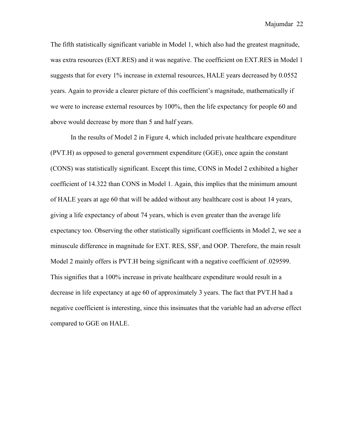The fifth statistically significant variable in Model 1, which also had the greatest magnitude, was extra resources (EXT.RES) and it was negative. The coefficient on EXT.RES in Model 1 suggests that for every 1% increase in external resources, HALE years decreased by 0.0552 years. Again to provide a clearer picture of this coefficient's magnitude, mathematically if we were to increase external resources by 100%, then the life expectancy for people 60 and above would decrease by more than 5 and half years.

In the results of Model 2 in Figure 4, which included private healthcare expenditure (PVT.H) as opposed to general government expenditure (GGE), once again the constant (CONS) was statistically significant. Except this time, CONS in Model 2 exhibited a higher coefficient of 14.322 than CONS in Model 1. Again, this implies that the minimum amount of HALE years at age 60 that will be added without any healthcare cost is about 14 years, giving a life expectancy of about 74 years, which is even greater than the average life expectancy too. Observing the other statistically significant coefficients in Model 2, we see a minuscule difference in magnitude for EXT. RES, SSF, and OOP. Therefore, the main result Model 2 mainly offers is PVT.H being significant with a negative coefficient of .029599. This signifies that a 100% increase in private healthcare expenditure would result in a decrease in life expectancy at age 60 of approximately 3 years. The fact that PVT.H had a negative coefficient is interesting, since this insinuates that the variable had an adverse effect compared to GGE on HALE.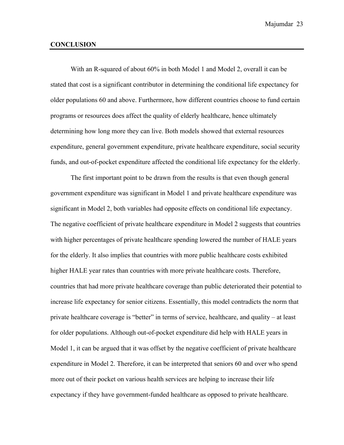#### **CONCLUSION**

With an R-squared of about 60% in both Model 1 and Model 2, overall it can be stated that cost is a significant contributor in determining the conditional life expectancy for older populations 60 and above. Furthermore, how different countries choose to fund certain programs or resources does affect the quality of elderly healthcare, hence ultimately determining how long more they can live. Both models showed that external resources expenditure, general government expenditure, private healthcare expenditure, social security funds, and out-of-pocket expenditure affected the conditional life expectancy for the elderly.

The first important point to be drawn from the results is that even though general government expenditure was significant in Model 1 and private healthcare expenditure was significant in Model 2, both variables had opposite effects on conditional life expectancy. The negative coefficient of private healthcare expenditure in Model 2 suggests that countries with higher percentages of private healthcare spending lowered the number of HALE years for the elderly. It also implies that countries with more public healthcare costs exhibited higher HALE year rates than countries with more private healthcare costs. Therefore, countries that had more private healthcare coverage than public deteriorated their potential to increase life expectancy for senior citizens. Essentially, this model contradicts the norm that private healthcare coverage is "better" in terms of service, healthcare, and quality – at least for older populations. Although out-of-pocket expenditure did help with HALE years in Model 1, it can be argued that it was offset by the negative coefficient of private healthcare expenditure in Model 2. Therefore, it can be interpreted that seniors 60 and over who spend more out of their pocket on various health services are helping to increase their life expectancy if they have government-funded healthcare as opposed to private healthcare.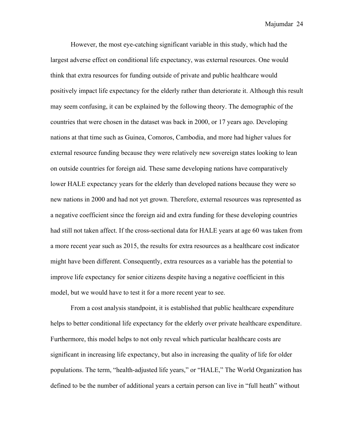However, the most eye-catching significant variable in this study, which had the largest adverse effect on conditional life expectancy, was external resources. One would think that extra resources for funding outside of private and public healthcare would positively impact life expectancy for the elderly rather than deteriorate it. Although this result may seem confusing, it can be explained by the following theory. The demographic of the countries that were chosen in the dataset was back in 2000, or 17 years ago. Developing nations at that time such as Guinea, Comoros, Cambodia, and more had higher values for external resource funding because they were relatively new sovereign states looking to lean on outside countries for foreign aid. These same developing nations have comparatively lower HALE expectancy years for the elderly than developed nations because they were so new nations in 2000 and had not yet grown. Therefore, external resources was represented as a negative coefficient since the foreign aid and extra funding for these developing countries had still not taken affect. If the cross-sectional data for HALE years at age 60 was taken from a more recent year such as 2015, the results for extra resources as a healthcare cost indicator might have been different. Consequently, extra resources as a variable has the potential to improve life expectancy for senior citizens despite having a negative coefficient in this model, but we would have to test it for a more recent year to see.

From a cost analysis standpoint, it is established that public healthcare expenditure helps to better conditional life expectancy for the elderly over private healthcare expenditure. Furthermore, this model helps to not only reveal which particular healthcare costs are significant in increasing life expectancy, but also in increasing the quality of life for older populations. The term, "health-adjusted life years," or "HALE," The World Organization has defined to be the number of additional years a certain person can live in "full heath" without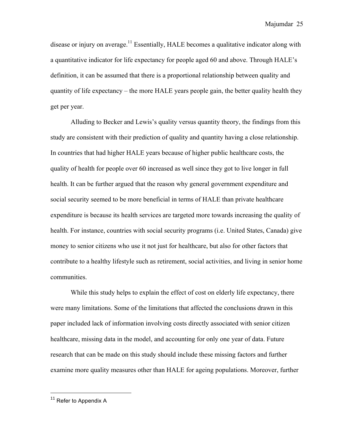disease or injury on average.<sup>11</sup> Essentially, HALE becomes a qualitative indicator along with a quantitative indicator for life expectancy for people aged 60 and above. Through HALE's definition, it can be assumed that there is a proportional relationship between quality and quantity of life expectancy – the more HALE years people gain, the better quality health they get per year.

Alluding to Becker and Lewis's quality versus quantity theory, the findings from this study are consistent with their prediction of quality and quantity having a close relationship. In countries that had higher HALE years because of higher public healthcare costs, the quality of health for people over 60 increased as well since they got to live longer in full health. It can be further argued that the reason why general government expenditure and social security seemed to be more beneficial in terms of HALE than private healthcare expenditure is because its health services are targeted more towards increasing the quality of health. For instance, countries with social security programs (i.e. United States, Canada) give money to senior citizens who use it not just for healthcare, but also for other factors that contribute to a healthy lifestyle such as retirement, social activities, and living in senior home communities.

While this study helps to explain the effect of cost on elderly life expectancy, there were many limitations. Some of the limitations that affected the conclusions drawn in this paper included lack of information involving costs directly associated with senior citizen healthcare, missing data in the model, and accounting for only one year of data. Future research that can be made on this study should include these missing factors and further examine more quality measures other than HALE for ageing populations. Moreover, further

 

 $11$  Refer to Appendix A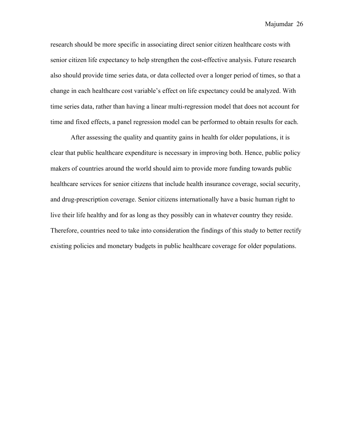research should be more specific in associating direct senior citizen healthcare costs with senior citizen life expectancy to help strengthen the cost-effective analysis. Future research also should provide time series data, or data collected over a longer period of times, so that a change in each healthcare cost variable's effect on life expectancy could be analyzed. With time series data, rather than having a linear multi-regression model that does not account for time and fixed effects, a panel regression model can be performed to obtain results for each.

After assessing the quality and quantity gains in health for older populations, it is clear that public healthcare expenditure is necessary in improving both. Hence, public policy makers of countries around the world should aim to provide more funding towards public healthcare services for senior citizens that include health insurance coverage, social security, and drug-prescription coverage. Senior citizens internationally have a basic human right to live their life healthy and for as long as they possibly can in whatever country they reside. Therefore, countries need to take into consideration the findings of this study to better rectify existing policies and monetary budgets in public healthcare coverage for older populations.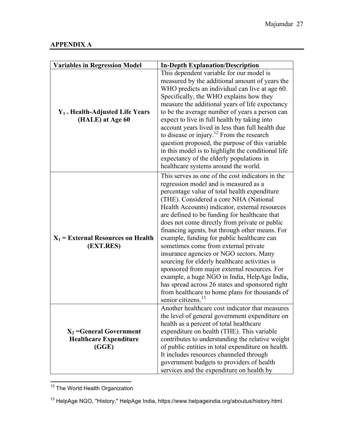| <b>Variables in Regression Model</b>                                | <b>In-Depth Explanation/Description</b>                                                                                                                                                                                                                                                                                                                                                                                                                                                                                                                                                                                                                                                                                                                                                                            |
|---------------------------------------------------------------------|--------------------------------------------------------------------------------------------------------------------------------------------------------------------------------------------------------------------------------------------------------------------------------------------------------------------------------------------------------------------------------------------------------------------------------------------------------------------------------------------------------------------------------------------------------------------------------------------------------------------------------------------------------------------------------------------------------------------------------------------------------------------------------------------------------------------|
| $Y_1$ = Health-Adjusted Life Years<br>(HALE) at Age 60              | This dependent variable for our model is<br>measured by the additional amount of years the<br>WHO predicts an individual can live at age 60.<br>Specifically, the WHO explains how they<br>measure the additional years of life expectancy<br>to be the average number of years a person can<br>expect to live in full health by taking into<br>account years lived in less than full health due<br>to disease or injury. <sup>12</sup> From the research<br>question proposed, the purpose of this variable<br>in this model is to highlight the conditional life<br>expectancy of the elderly populations in<br>healthcare systems around the world.                                                                                                                                                             |
| $X_1$ = External Resources on Health<br>(EXT.RES)                   | This serves as one of the cost indicators in the<br>regression model and is measured as a<br>percentage value of total health expenditure<br>(THE). Considered a core NHA (National<br>Health Accounts) indicator, external resources<br>are defined to be funding for healthcare that<br>does not come directly from private or public<br>financing agents, but through other means. For<br>example, funding for public healthcare can<br>sometimes come from external private<br>insurance agencies or NGO sectors. Many<br>sourcing for elderly healthcare activities is<br>sponsored from major external resources. For<br>example, a huge NGO in India, HelpAge India,<br>has spread across 26 states and sponsored right<br>from healthcare to home plans for thousands of<br>senior citizens. <sup>13</sup> |
| $X_2$ =General Government<br><b>Healthcare Expenditure</b><br>(GGE) | Another healthcare cost indicator that measures<br>the level of general government expenditure on<br>health as a percent of total healthcare<br>expenditure on health (THE). This variable<br>contributes to understanding the relative weight<br>of public entities in total expenditure on health.<br>It includes resources channeled through<br>government budgets to providers of health<br>services and the expenditure on health by                                                                                                                                                                                                                                                                                                                                                                          |

12 The World Health Organization

<sup>13</sup> HelpAge NGO, "History," HelpAge India, https://www.helpageindia.org/aboutus/history.html.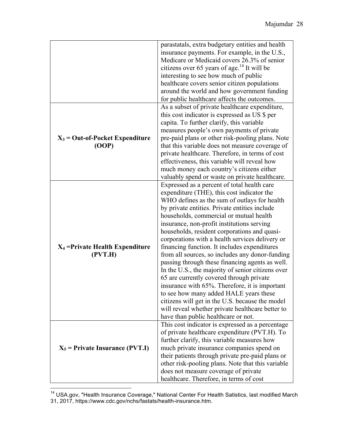|                                    | parastatals, extra budgetary entities and health        |
|------------------------------------|---------------------------------------------------------|
|                                    | insurance payments. For example, in the U.S.,           |
|                                    | Medicare or Medicaid covers 26.3% of senior             |
|                                    |                                                         |
|                                    | citizens over 65 years of age. <sup>14</sup> It will be |
|                                    | interesting to see how much of public                   |
|                                    | healthcare covers senior citizen populations            |
|                                    | around the world and how government funding             |
|                                    | for public healthcare affects the outcomes.             |
|                                    | As a subset of private healthcare expenditure,          |
|                                    | this cost indicator is expressed as US \$ per           |
|                                    | capita. To further clarify, this variable               |
|                                    | measures people's own payments of private               |
| $X_3$ = Out-of-Pocket Expenditure  | pre-paid plans or other risk-pooling plans. Note        |
| (OOP)                              | that this variable does not measure coverage of         |
|                                    | private healthcare. Therefore, in terms of cost         |
|                                    | effectiveness, this variable will reveal how            |
|                                    | much money each country's citizens either               |
|                                    | valuably spend or waste on private healthcare.          |
|                                    | Expressed as a percent of total health care             |
|                                    | expenditure (THE), this cost indicator the              |
|                                    | WHO defines as the sum of outlays for health            |
|                                    |                                                         |
|                                    | by private entities. Private entities include           |
|                                    | households, commercial or mutual health                 |
|                                    | insurance, non-profit institutions serving              |
|                                    | households, resident corporations and quasi-            |
|                                    | corporations with a health services delivery or         |
| $X_4$ = Private Health Expenditure | financing function. It includes expenditures            |
| (PVT.H)                            | from all sources, so includes any donor-funding         |
|                                    | passing through these financing agents as well.         |
|                                    | In the U.S., the majority of senior citizens over       |
|                                    | 65 are currently covered through private                |
|                                    | insurance with 65%. Therefore, it is important          |
|                                    | to see how many added HALE years these                  |
|                                    | citizens will get in the U.S. because the model         |
|                                    | will reveal whether private healthcare better to        |
|                                    | have than public healthcare or not.                     |
|                                    | This cost indicator is expressed as a percentage        |
|                                    | of private healthcare expenditure (PVT.H). To           |
|                                    | further clarify, this variable measures how             |
| $X_5$ = Private Insurance (PVT.I)  | much private insurance companies spend on               |
|                                    | their patients through private pre-paid plans or        |
|                                    | other risk-pooling plans. Note that this variable       |
|                                    | does not measure coverage of private                    |
|                                    | healthcare. Therefore, in terms of cost                 |

————————————————————<br><sup>14</sup> USA.gov, "Health Insurance Coverage," National Center For Health Satistics, last modified March 31, 2017, https://www.cdc.gov/nchs/fastats/health-insurance.htm.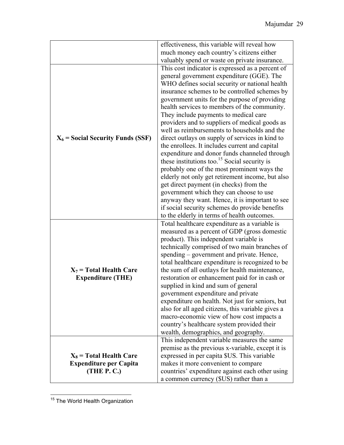|                                     | effectiveness, this variable will reveal how                                                                                                                                                                                                                                                                                                                                                                                                                                                                                                                                                                                                                                                                                                                                                                                                                                                                                                                 |
|-------------------------------------|--------------------------------------------------------------------------------------------------------------------------------------------------------------------------------------------------------------------------------------------------------------------------------------------------------------------------------------------------------------------------------------------------------------------------------------------------------------------------------------------------------------------------------------------------------------------------------------------------------------------------------------------------------------------------------------------------------------------------------------------------------------------------------------------------------------------------------------------------------------------------------------------------------------------------------------------------------------|
|                                     | much money each country's citizens either                                                                                                                                                                                                                                                                                                                                                                                                                                                                                                                                                                                                                                                                                                                                                                                                                                                                                                                    |
|                                     | valuably spend or waste on private insurance.                                                                                                                                                                                                                                                                                                                                                                                                                                                                                                                                                                                                                                                                                                                                                                                                                                                                                                                |
| $X_6$ = Social Security Funds (SSF) | This cost indicator is expressed as a percent of<br>general government expenditure (GGE). The<br>WHO defines social security or national health<br>insurance schemes to be controlled schemes by<br>government units for the purpose of providing<br>health services to members of the community.<br>They include payments to medical care<br>providers and to suppliers of medical goods as<br>well as reimbursements to households and the<br>direct outlays on supply of services in kind to<br>the enrollees. It includes current and capital<br>expenditure and donor funds channeled through<br>these institutions too. <sup>15</sup> Social security is<br>probably one of the most prominent ways the<br>elderly not only get retirement income, but also<br>get direct payment (in checks) from the<br>government which they can choose to use<br>anyway they want. Hence, it is important to see<br>if social security schemes do provide benefits |
|                                     | to the elderly in terms of health outcomes.                                                                                                                                                                                                                                                                                                                                                                                                                                                                                                                                                                                                                                                                                                                                                                                                                                                                                                                  |
|                                     | Total healthcare expenditure as a variable is                                                                                                                                                                                                                                                                                                                                                                                                                                                                                                                                                                                                                                                                                                                                                                                                                                                                                                                |
|                                     | measured as a percent of GDP (gross domestic                                                                                                                                                                                                                                                                                                                                                                                                                                                                                                                                                                                                                                                                                                                                                                                                                                                                                                                 |
|                                     | product). This independent variable is                                                                                                                                                                                                                                                                                                                                                                                                                                                                                                                                                                                                                                                                                                                                                                                                                                                                                                                       |
|                                     | technically comprised of two main branches of                                                                                                                                                                                                                                                                                                                                                                                                                                                                                                                                                                                                                                                                                                                                                                                                                                                                                                                |
|                                     | spending – government and private. Hence,                                                                                                                                                                                                                                                                                                                                                                                                                                                                                                                                                                                                                                                                                                                                                                                                                                                                                                                    |
|                                     | total healthcare expenditure is recognized to be                                                                                                                                                                                                                                                                                                                                                                                                                                                                                                                                                                                                                                                                                                                                                                                                                                                                                                             |
| $X_7$ = Total Health Care           | the sum of all outlays for health maintenance,                                                                                                                                                                                                                                                                                                                                                                                                                                                                                                                                                                                                                                                                                                                                                                                                                                                                                                               |
| <b>Expenditure (THE)</b>            | restoration or enhancement paid for in cash or<br>supplied in kind and sum of general                                                                                                                                                                                                                                                                                                                                                                                                                                                                                                                                                                                                                                                                                                                                                                                                                                                                        |
|                                     | government expenditure and private                                                                                                                                                                                                                                                                                                                                                                                                                                                                                                                                                                                                                                                                                                                                                                                                                                                                                                                           |
|                                     | expenditure on health. Not just for seniors, but                                                                                                                                                                                                                                                                                                                                                                                                                                                                                                                                                                                                                                                                                                                                                                                                                                                                                                             |
|                                     | also for all aged citizens, this variable gives a                                                                                                                                                                                                                                                                                                                                                                                                                                                                                                                                                                                                                                                                                                                                                                                                                                                                                                            |
|                                     | macro-economic view of how cost impacts a                                                                                                                                                                                                                                                                                                                                                                                                                                                                                                                                                                                                                                                                                                                                                                                                                                                                                                                    |
|                                     | country's healthcare system provided their                                                                                                                                                                                                                                                                                                                                                                                                                                                                                                                                                                                                                                                                                                                                                                                                                                                                                                                   |
|                                     | wealth, demographics, and geography.                                                                                                                                                                                                                                                                                                                                                                                                                                                                                                                                                                                                                                                                                                                                                                                                                                                                                                                         |
|                                     | This independent variable measures the same                                                                                                                                                                                                                                                                                                                                                                                                                                                                                                                                                                                                                                                                                                                                                                                                                                                                                                                  |
|                                     | premise as the previous x-variable, except it is                                                                                                                                                                                                                                                                                                                                                                                                                                                                                                                                                                                                                                                                                                                                                                                                                                                                                                             |
| $X_8$ = Total Health Care           | expressed in per capita \$US. This variable                                                                                                                                                                                                                                                                                                                                                                                                                                                                                                                                                                                                                                                                                                                                                                                                                                                                                                                  |
| <b>Expenditure per Capita</b>       | makes it more convenient to compare                                                                                                                                                                                                                                                                                                                                                                                                                                                                                                                                                                                                                                                                                                                                                                                                                                                                                                                          |
| (THEP. C.)                          | countries' expenditure against each other using                                                                                                                                                                                                                                                                                                                                                                                                                                                                                                                                                                                                                                                                                                                                                                                                                                                                                                              |
|                                     | a common currency (\$US) rather than a                                                                                                                                                                                                                                                                                                                                                                                                                                                                                                                                                                                                                                                                                                                                                                                                                                                                                                                       |

<sup>&</sup>lt;sup>15</sup> The World Health Organization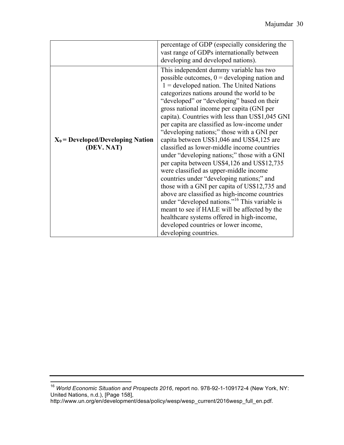|                                                   | percentage of GDP (especially considering the<br>vast range of GDPs internationally between<br>developing and developed nations).                                                                                                                                                                                                                                                                                                                                                                                                                                                                                                                                                                                                                                                                                                                                                                                                                                                                                                                   |
|---------------------------------------------------|-----------------------------------------------------------------------------------------------------------------------------------------------------------------------------------------------------------------------------------------------------------------------------------------------------------------------------------------------------------------------------------------------------------------------------------------------------------------------------------------------------------------------------------------------------------------------------------------------------------------------------------------------------------------------------------------------------------------------------------------------------------------------------------------------------------------------------------------------------------------------------------------------------------------------------------------------------------------------------------------------------------------------------------------------------|
| $X_9$ = Developed/Developing Nation<br>(DEV. NAT) | This independent dummy variable has two<br>possible outcomes, $0 =$ developing nation and<br>$1 =$ developed nation. The United Nations<br>categorizes nations around the world to be<br>"developed" or "developing" based on their<br>gross national income per capita (GNI per<br>capita). Countries with less than US\$1,045 GNI<br>per capita are classified as low-income under<br>"developing nations;" those with a GNI per<br>capita between US\$1,046 and US\$4,125 are<br>classified as lower-middle income countries<br>under "developing nations;" those with a GNI<br>per capita between US\$4,126 and US\$12,735<br>were classified as upper-middle income<br>countries under "developing nations;" and<br>those with a GNI per capita of US\$12,735 and<br>above are classified as high-income countries<br>under "developed nations." <sup>16</sup> This variable is<br>meant to see if HALE will be affected by the<br>healthcare systems offered in high-income,<br>developed countries or lower income,<br>developing countries. |

 <sup>16</sup> *World Economic Situation and Prospects 2016*, report no. 978-92-1-109172-4 (New York, NY: United Nations, n.d.), [Page 158],

http://www.un.org/en/development/desa/policy/wesp/wesp\_current/2016wesp\_full\_en.pdf.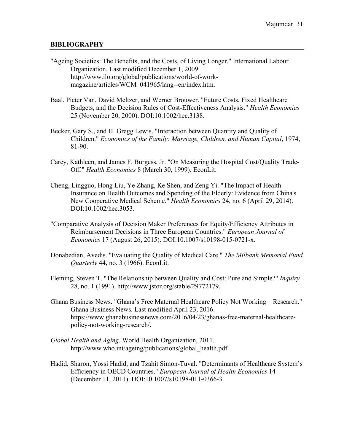#### **BIBLIOGRAPHY**

- "Ageing Societies: The Benefits, and the Costs, of Living Longer." International Labour Organization. Last modified December 1, 2009. http://www.ilo.org/global/publications/world-of-workmagazine/articles/WCM\_041965/lang--en/index.htm.
- Baal, Pieter Van, David Meltzer, and Werner Brouwer. "Future Costs, Fixed Healthcare Budgets, and the Decision Rules of Cost-Effectiveness Analysis." *Health Economics* 25 (November 20, 2000). DOI:10.1002/hec.3138.
- Becker, Gary S., and H. Gregg Lewis. "Interaction between Quantity and Quality of Children." *Economics of the Family: Marriage, Children, and Human Capital*, 1974, 81-90.
- Carey, Kathleen, and James F. Burgess, Jr. "On Measuring the Hospital Cost/Quality Trade-Off." *Health Economics* 8 (March 30, 1999). EconLit.
- Cheng, Lingguo, Hong Liu, Ye Zhang, Ke Shen, and Zeng Yi. "The Impact of Health Insurance on Health Outcomes and Spending of the Elderly: Evidence from China's New Cooperative Medical Scheme." *Health Economics* 24, no. 6 (April 29, 2014). DOI:10.1002/hec.3053.
- "Comparative Analysis of Decision Maker Preferences for Equity/Efficiency Attributes in Reimbursement Decisions in Three European Countries." *European Journal of Economics* 17 (August 26, 2015). DOI:10.1007/s10198-015-0721-x.
- Donabedian, Avedis. "Evaluating the Quality of Medical Care." *The Milbank Memorial Fund Quarterly* 44, no. 3 (1966). EconLit.
- Fleming, Steven T. "The Relationship between Quality and Cost: Pure and Simple?" *Inquiry* 28, no. 1 (1991). http://www.jstor.org/stable/29772179.
- Ghana Business News. "Ghana's Free Maternal Healthcare Policy Not Working Research." Ghana Business News. Last modified April 23, 2016. https://www.ghanabusinessnews.com/2016/04/23/ghanas-free-maternal-healthcarepolicy-not-working-research/.
- *Global Health and Aging*. World Health Organization, 2011. http://www.who.int/ageing/publications/global\_health.pdf.
- Hadid, Sharon, Yossi Hadid, and Tzahit Simon-Tuval. "Determinants of Healthcare System's Efficiency in OECD Countries." *European Journal of Health Economics* 14 (December 11, 2011). DOI:10.1007/s10198-011-0366-3.